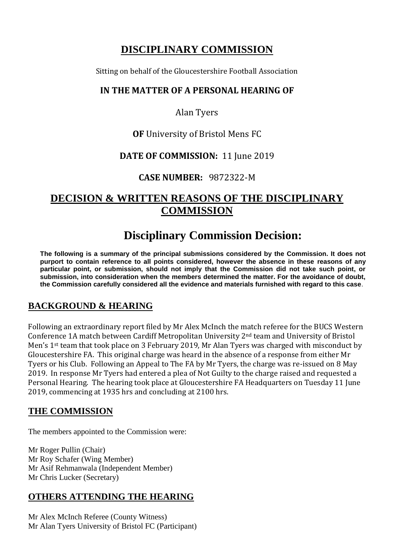# **DISCIPLINARY COMMISSION**

Sitting on behalf of the Gloucestershire Football Association

#### **IN THE MATTER OF A PERSONAL HEARING OF**

Alan Tyers

#### **OF** University of Bristol Mens FC

#### **DATE OF COMMISSION:** 11 June 2019

#### **CASE NUMBER:** 9872322-M

## **DECISION & WRITTEN REASONS OF THE DISCIPLINARY COMMISSION**

# **Disciplinary Commission Decision:**

**The following is a summary of the principal submissions considered by the Commission. It does not purport to contain reference to all points considered, however the absence in these reasons of any particular point, or submission, should not imply that the Commission did not take such point, or submission, into consideration when the members determined the matter. For the avoidance of doubt, the Commission carefully considered all the evidence and materials furnished with regard to this case**.

## **BACKGROUND & HEARING**

Following an extraordinary report filed by Mr Alex McInch the match referee for the BUCS Western Conference 1A match between Cardiff Metropolitan University 2nd team and University of Bristol Men's 1st team that took place on 3 February 2019, Mr Alan Tyers was charged with misconduct by Gloucestershire FA. This original charge was heard in the absence of a response from either Mr Tyers or his Club. Following an Appeal to The FA by Mr Tyers, the charge was re-issued on 8 May 2019. In response Mr Tyers had entered a plea of Not Guilty to the charge raised and requested a Personal Hearing. The hearing took place at Gloucestershire FA Headquarters on Tuesday 11 June 2019, commencing at 1935 hrs and concluding at 2100 hrs.

## **THE COMMISSION**

The members appointed to the Commission were:

Mr Roger Pullin (Chair) Mr Roy Schafer (Wing Member) Mr Asif Rehmanwala (Independent Member) Mr Chris Lucker (Secretary)

## **OTHERS ATTENDING THE HEARING**

Mr Alex McInch Referee (County Witness) Mr Alan Tyers University of Bristol FC (Participant)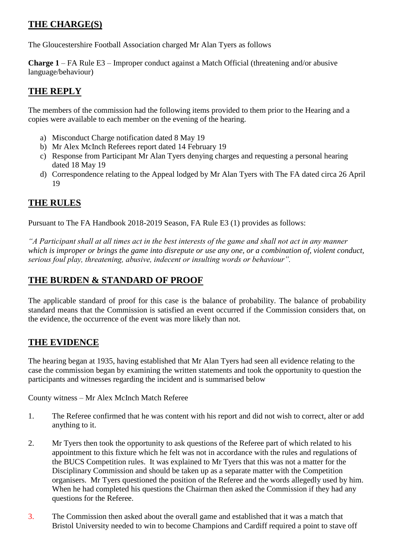## **THE CHARGE(S)**

The Gloucestershire Football Association charged Mr Alan Tyers as follows

**Charge 1** – FA Rule E3 – Improper conduct against a Match Official (threatening and/or abusive language/behaviour)

## **THE REPLY**

The members of the commission had the following items provided to them prior to the Hearing and a copies were available to each member on the evening of the hearing.

- a) Misconduct Charge notification dated 8 May 19
- b) Mr Alex McInch Referees report dated 14 February 19
- c) Response from Participant Mr Alan Tyers denying charges and requesting a personal hearing dated 18 May 19
- d) Correspondence relating to the Appeal lodged by Mr Alan Tyers with The FA dated circa 26 April 19

## **THE RULES**

Pursuant to The FA Handbook 2018-2019 Season, FA Rule E3 (1) provides as follows:

*"A Participant shall at all times act in the best interests of the game and shall not act in any manner which is improper or brings the game into disrepute or use any one, or a combination of, violent conduct, serious foul play, threatening, abusive, indecent or insulting words or behaviour".*

## **THE BURDEN & STANDARD OF PROOF**

The applicable standard of proof for this case is the balance of probability. The balance of probability standard means that the Commission is satisfied an event occurred if the Commission considers that, on the evidence, the occurrence of the event was more likely than not.

## **THE EVIDENCE**

The hearing began at 1935, having established that Mr Alan Tyers had seen all evidence relating to the case the commission began by examining the written statements and took the opportunity to question the participants and witnesses regarding the incident and is summarised below

County witness – Mr Alex McInch Match Referee

- 1. The Referee confirmed that he was content with his report and did not wish to correct, alter or add anything to it.
- 2. Mr Tyers then took the opportunity to ask questions of the Referee part of which related to his appointment to this fixture which he felt was not in accordance with the rules and regulations of the BUCS Competition rules. It was explained to Mr Tyers that this was not a matter for the Disciplinary Commission and should be taken up as a separate matter with the Competition organisers. Mr Tyers questioned the position of the Referee and the words allegedly used by him. When he had completed his questions the Chairman then asked the Commission if they had any questions for the Referee.
- 3. The Commission then asked about the overall game and established that it was a match that Bristol University needed to win to become Champions and Cardiff required a point to stave off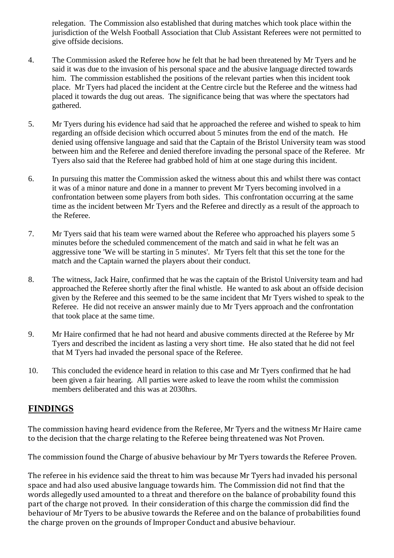relegation. The Commission also established that during matches which took place within the jurisdiction of the Welsh Football Association that Club Assistant Referees were not permitted to give offside decisions.

- 4. The Commission asked the Referee how he felt that he had been threatened by Mr Tyers and he said it was due to the invasion of his personal space and the abusive language directed towards him. The commission established the positions of the relevant parties when this incident took place. Mr Tyers had placed the incident at the Centre circle but the Referee and the witness had placed it towards the dug out areas. The significance being that was where the spectators had gathered.
- 5. Mr Tyers during his evidence had said that he approached the referee and wished to speak to him regarding an offside decision which occurred about 5 minutes from the end of the match. He denied using offensive language and said that the Captain of the Bristol University team was stood between him and the Referee and denied therefore invading the personal space of the Referee. Mr Tyers also said that the Referee had grabbed hold of him at one stage during this incident.
- 6. In pursuing this matter the Commission asked the witness about this and whilst there was contact it was of a minor nature and done in a manner to prevent Mr Tyers becoming involved in a confrontation between some players from both sides. This confrontation occurring at the same time as the incident between Mr Tyers and the Referee and directly as a result of the approach to the Referee.
- 7. Mr Tyers said that his team were warned about the Referee who approached his players some 5 minutes before the scheduled commencement of the match and said in what he felt was an aggressive tone 'We will be starting in 5 minutes'. Mr Tyers felt that this set the tone for the match and the Captain warned the players about their conduct.
- 8. The witness, Jack Haire, confirmed that he was the captain of the Bristol University team and had approached the Referee shortly after the final whistle. He wanted to ask about an offside decision given by the Referee and this seemed to be the same incident that Mr Tyers wished to speak to the Referee. He did not receive an answer mainly due to Mr Tyers approach and the confrontation that took place at the same time.
- 9. Mr Haire confirmed that he had not heard and abusive comments directed at the Referee by Mr Tyers and described the incident as lasting a very short time. He also stated that he did not feel that M Tyers had invaded the personal space of the Referee.
- 10. This concluded the evidence heard in relation to this case and Mr Tyers confirmed that he had been given a fair hearing. All parties were asked to leave the room whilst the commission members deliberated and this was at 2030hrs.

#### **FINDINGS**

The commission having heard evidence from the Referee, Mr Tyers and the witness Mr Haire came to the decision that the charge relating to the Referee being threatened was Not Proven.

The commission found the Charge of abusive behaviour by Mr Tyers towards the Referee Proven.

The referee in his evidence said the threat to him was because Mr Tyers had invaded his personal space and had also used abusive language towards him. The Commission did not find that the words allegedly used amounted to a threat and therefore on the balance of probability found this part of the charge not proved. In their consideration of this charge the commission did find the behaviour of Mr Tyers to be abusive towards the Referee and on the balance of probabilities found the charge proven on the grounds of Improper Conduct and abusive behaviour.